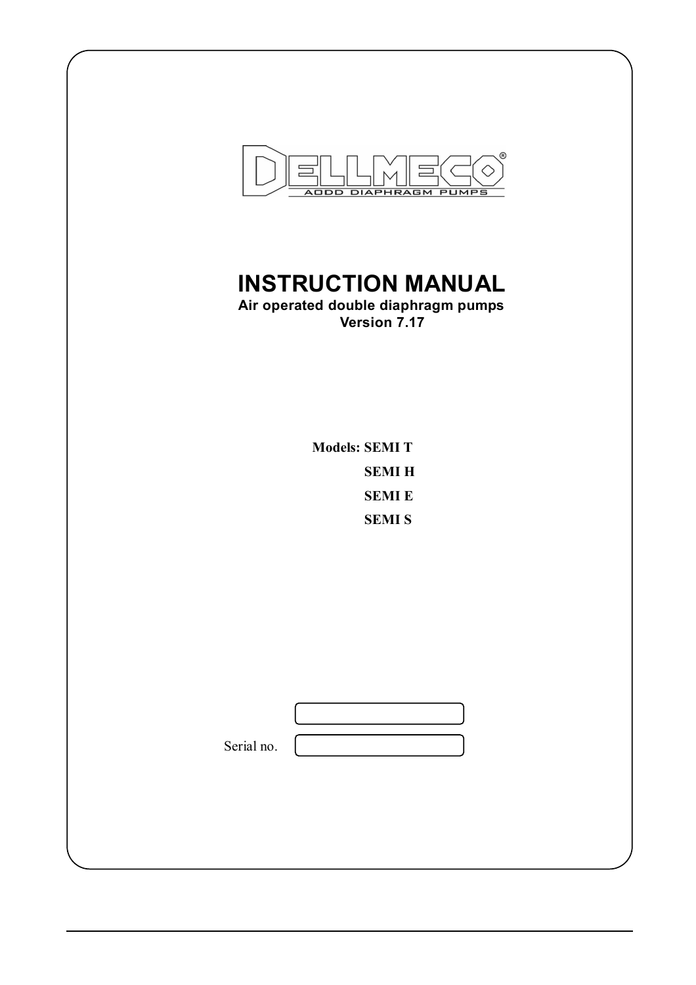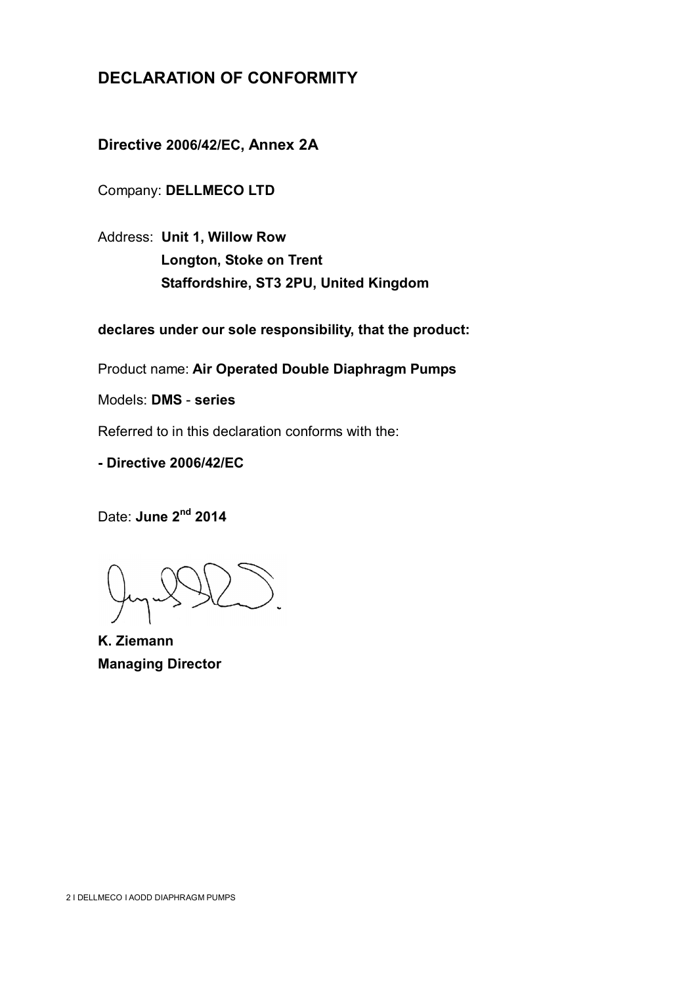## **DECLARATION OF CONFORMITY**

**Directive 2006/42/EC, Annex 2A**

Company: **DELLMECO LTD**

Address: **Unit 1, Willow Row Longton, Stoke on Trent Staffordshire, ST3 2PU, United Kingdom**

**declares under our sole responsibility, that the product:**

Product name: **Air Operated Double Diaphragm Pumps**

Models: **DMS** - **series**

Referred to in this declaration conforms with the:

**- Directive 2006/42/EC**

Date: June 2<sup>nd</sup> 2014

**K. Ziemann Managing Director**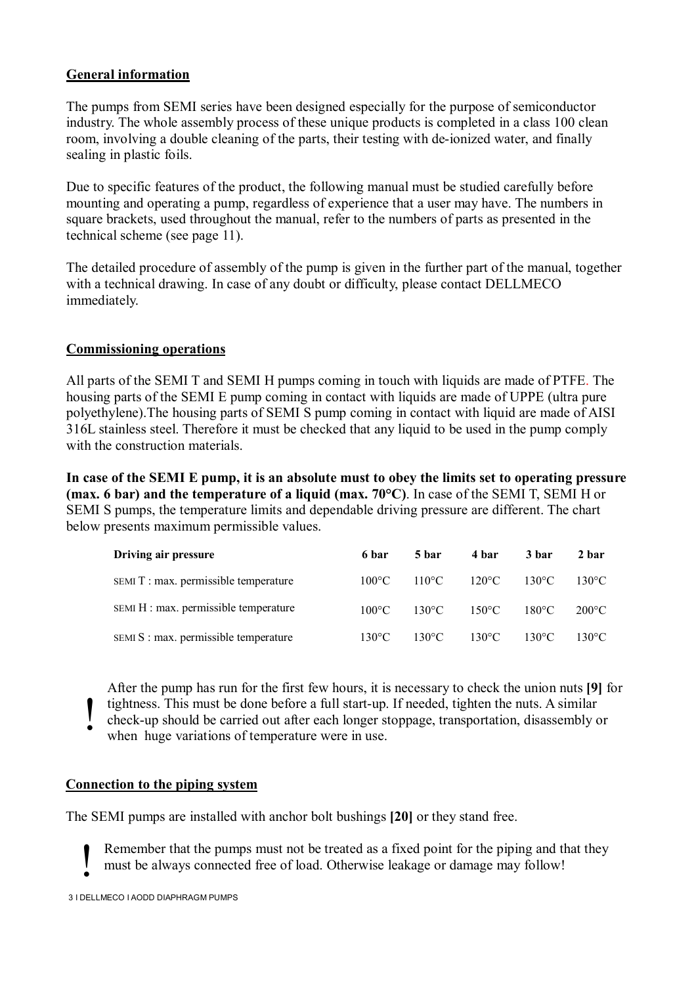#### **General information**

The pumps from SEMI series have been designed especially for the purpose of semiconductor industry. The whole assembly process of these unique products is completed in a class 100 clean room, involving a double cleaning of the parts, their testing with de-ionized water, and finally sealing in plastic foils.

Due to specific features of the product, the following manual must be studied carefully before mounting and operating a pump, regardless of experience that a user may have. The numbers in square brackets, used throughout the manual, refer to the numbers of parts as presented in the technical scheme (see page 11).

The detailed procedure of assembly of the pump is given in the further part of the manual, together with a technical drawing. In case of any doubt or difficulty, please contact DELLMECO immediately.

#### **Commissioning operations**

All parts of the SEMI T and SEMI H pumps coming in touch with liquids are made of PTFE. The housing parts of the SEMI E pump coming in contact with liquids are made of UPPE (ultra pure polyethylene).The housing parts of SEMI S pump coming in contact with liquid are made of AISI 316L stainless steel. Therefore it must be checked that any liquid to be used in the pump comply with the construction materials.

**In case of the SEMI E pump, it is an absolute must to obey the limits set to operating pressure (max. 6 bar) and the temperature of a liquid (max. 70°C)**. In case of the SEMI T, SEMI H or SEMI S pumps, the temperature limits and dependable driving pressure are different. The chart below presents maximum permissible values.

| Driving air pressure                  | 6 bar           | 5 bar                           | 4 bar           | 3 bar           | 2 bar           |
|---------------------------------------|-----------------|---------------------------------|-----------------|-----------------|-----------------|
| SEMIT : max. permissible temperature  | $100^{\circ}$ C | $110^{\circ}$ C $120^{\circ}$ C |                 | $130^{\circ}$ C | $130^{\circ}$ C |
| SEMI H : max. permissible temperature | $100^{\circ}$ C | $130^{\circ}$ C                 | $150^{\circ}$ C | $180^{\circ}$ C | $200^{\circ}$ C |
| SEMI S : max. permissible temperature | $130^{\circ}$ C | $130^{\circ}$ C                 | $130^{\circ}$ C | $130^{\circ}$ C | $130^{\circ}$ C |

After the pump has run for the first few hours, it is necessary to check the union nuts **[9]** for tightness. This must be done before a full start-up. If needed, tighten the nuts. A similar check-up should be carried out after each longer stoppage, transportation, disassembly or when huge variations of temperature were in use. !

#### **Connection to the piping system**

The SEMI pumps are installed with anchor bolt bushings **[20]** or they stand free.

Remember that the pumps must not be treated as a fixed point for the piping and that they must be always connected free of load. Otherwise leakage or damage may follow! !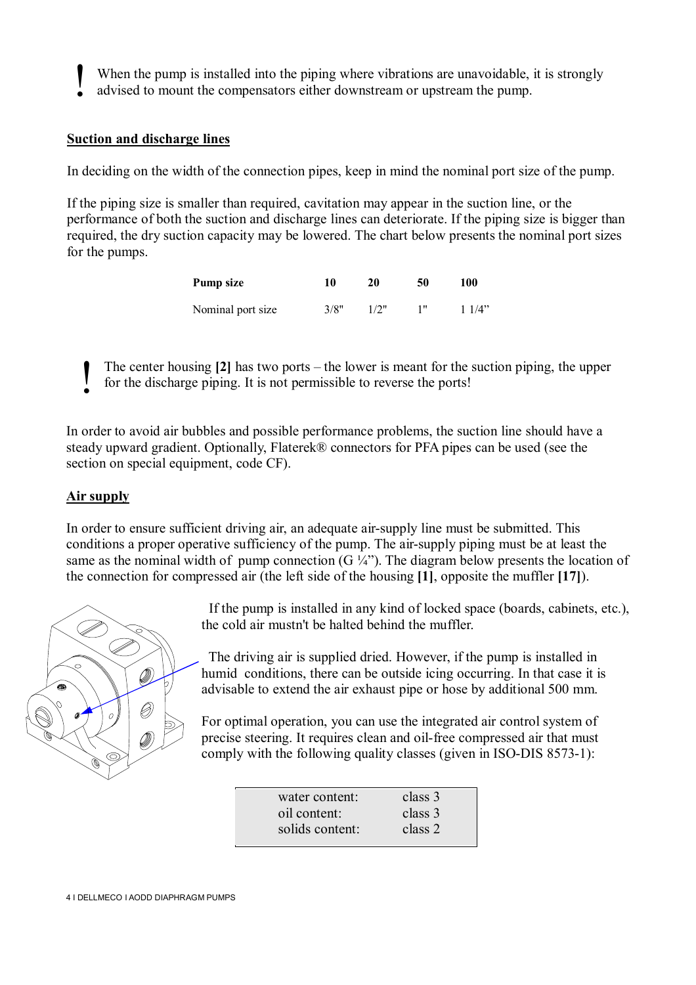When the pump is installed into the piping where vibrations are unavoidable, it is strongly

advised to mount the compensators either downstream or upstream the pump. !

#### **Suction and discharge lines**

In deciding on the width of the connection pipes, keep in mind the nominal port size of the pump.

If the piping size is smaller than required, cavitation may appear in the suction line, or the performance of both the suction and discharge lines can deteriorate. If the piping size is bigger than required, the dry suction capacity may be lowered. The chart below presents the nominal port sizes for the pumps.

| Pump size         | 10   | 20   | 50 | 100   |
|-------------------|------|------|----|-------|
| Nominal port size | 3/8" | 1/2" |    | 11/4" |

The center housing **[2]** has two ports – the lower is meant for the suction piping, the upper for the discharge piping. It is not permissible to reverse the ports! !

In order to avoid air bubbles and possible performance problems, the suction line should have a steady upward gradient. Optionally, Flaterek® connectors for PFA pipes can be used (see the section on special equipment, code CF).

#### **Air supply**

In order to ensure sufficient driving air, an adequate air-supply line must be submitted. This conditions a proper operative sufficiency of the pump. The air-supply piping must be at least the same as the nominal width of pump connection  $(G \frac{1}{4})$ . The diagram below presents the location of the connection for compressed air (the left side of the housing **[1]**, opposite the muffler **[17]**).



 If the pump is installed in any kind of locked space (boards, cabinets, etc.), the cold air mustn't be halted behind the muffler.

 The driving air is supplied dried. However, if the pump is installed in humid conditions, there can be outside icing occurring. In that case it is advisable to extend the air exhaust pipe or hose by additional 500 mm.

For optimal operation, you can use the integrated air control system of precise steering. It requires clean and oil-free compressed air that must comply with the following quality classes (given in ISO-DIS 8573-1):

| water content:  | class 3 |
|-----------------|---------|
| oil content:    | class 3 |
| solids content: | class 2 |
|                 |         |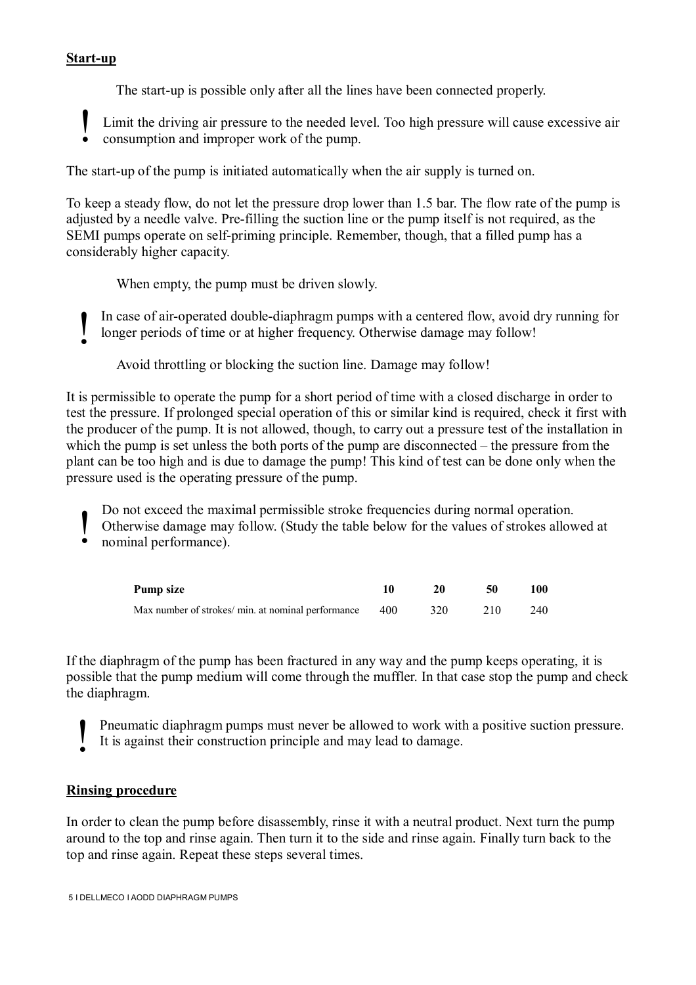#### **Start-up**

The start-up is possible only after all the lines have been connected properly.

Limit the driving air pressure to the needed level. Too high pressure will cause excessive air consumption and improper work of the pump. !

The start-up of the pump is initiated automatically when the air supply is turned on.

To keep a steady flow, do not let the pressure drop lower than 1.5 bar. The flow rate of the pump is adjusted by a needle valve. Pre-filling the suction line or the pump itself is not required, as the SEMI pumps operate on self-priming principle. Remember, though, that a filled pump has a considerably higher capacity.

When empty, the pump must be driven slowly.

In case of air-operated double-diaphragm pumps with a centered flow, avoid dry running for longer periods of time or at higher frequency. Otherwise damage may follow! !

Avoid throttling or blocking the suction line. Damage may follow!

It is permissible to operate the pump for a short period of time with a closed discharge in order to test the pressure. If prolonged special operation of this or similar kind is required, check it first with the producer of the pump. It is not allowed, though, to carry out a pressure test of the installation in which the pump is set unless the both ports of the pump are disconnected – the pressure from the plant can be too high and is due to damage the pump! This kind of test can be done only when the pressure used is the operating pressure of the pump.

Do not exceed the maximal permissible stroke frequencies during normal operation.

- Otherwise damage may follow. (Study the table below for the values of strokes allowed at !
- nominal performance).

| Pump size                                          |     |     | 50  | 100- |
|----------------------------------------------------|-----|-----|-----|------|
| Max number of strokes/ min. at nominal performance | 400 | 320 | 210 | 240  |

If the diaphragm of the pump has been fractured in any way and the pump keeps operating, it is possible that the pump medium will come through the muffler. In that case stop the pump and check the diaphragm.

- Pneumatic diaphragm pumps must never be allowed to work with a positive suction pressure. !
- It is against their construction principle and may lead to damage.

#### **Rinsing procedure**

In order to clean the pump before disassembly, rinse it with a neutral product. Next turn the pump around to the top and rinse again. Then turn it to the side and rinse again. Finally turn back to the top and rinse again. Repeat these steps several times.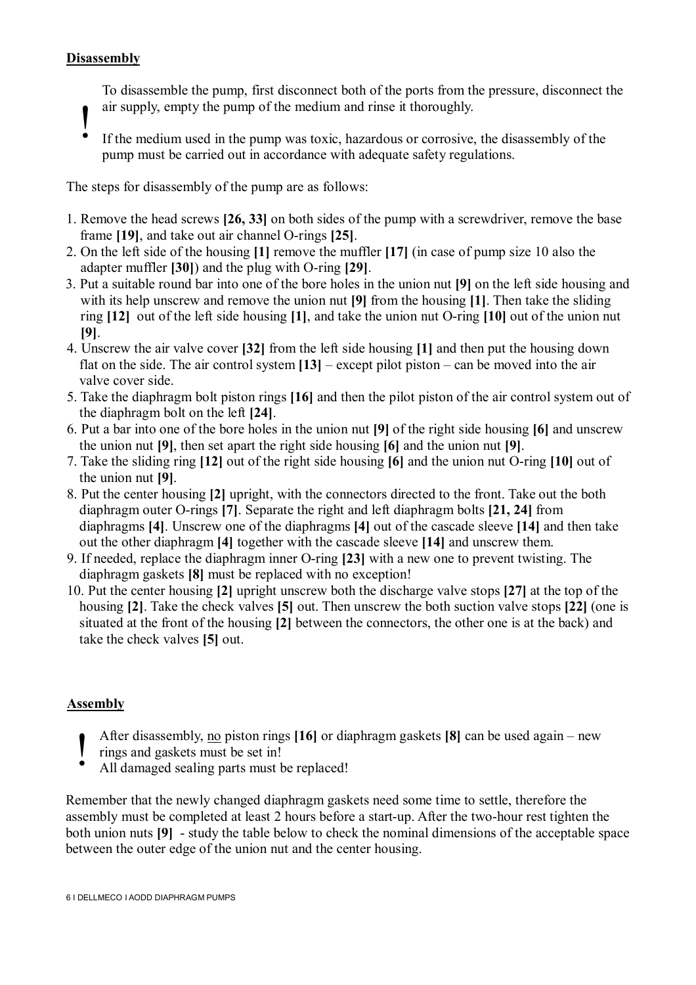#### **Disassembly**

To disassemble the pump, first disconnect both of the ports from the pressure, disconnect the air supply, empty the pump of the medium and rinse it thoroughly.

- $\ddot{\bullet}$ 
	- If the medium used in the pump was toxic, hazardous or corrosive, the disassembly of the pump must be carried out in accordance with adequate safety regulations.

The steps for disassembly of the pump are as follows:

- 1. Remove the head screws **[26, 33]** on both sides of the pump with a screwdriver, remove the base frame **[19]**, and take out air channel O-rings **[25]**.
- 2. On the left side of the housing **[1]** remove the muffler **[17]** (in case of pump size 10 also the adapter muffler **[30]**) and the plug with O-ring **[29]**.
- 3. Put a suitable round bar into one of the bore holes in the union nut **[9]** on the left side housing and with its help unscrew and remove the union nut **[9]** from the housing **[1]**. Then take the sliding ring **[12]** out of the left side housing **[1]**, and take the union nut O-ring **[10]** out of the union nut **[9]**.
- 4. Unscrew the air valve cover **[32]** from the left side housing **[1]** and then put the housing down flat on the side. The air control system **[13]** – except pilot piston – can be moved into the air valve cover side.
- 5. Take the diaphragm bolt piston rings **[16]** and then the pilot piston of the air control system out of the diaphragm bolt on the left **[24]**.
- 6. Put a bar into one of the bore holes in the union nut **[9]** of the right side housing **[6]** and unscrew the union nut **[9]**, then set apart the right side housing **[6]** and the union nut **[9]**.
- 7. Take the sliding ring **[12]** out of the right side housing **[6]** and the union nut O-ring **[10]** out of the union nut **[9]**.
- 8. Put the center housing **[2]** upright, with the connectors directed to the front. Take out the both diaphragm outer O-rings **[7]**. Separate the right and left diaphragm bolts **[21, 24]** from diaphragms **[4]**. Unscrew one of the diaphragms **[4]** out of the cascade sleeve **[14]** and then take out the other diaphragm **[4]** together with the cascade sleeve **[14]** and unscrew them.
- 9. If needed, replace the diaphragm inner O-ring **[23]** with a new one to prevent twisting. The diaphragm gaskets **[8]** must be replaced with no exception!
- 10. Put the center housing **[2]** upright unscrew both the discharge valve stops **[27]** at the top of the housing **[2]**. Take the check valves **[5]** out. Then unscrew the both suction valve stops **[22]** (one is situated at the front of the housing **[2]** between the connectors, the other one is at the back) and take the check valves **[5]** out.

#### **Assembly**

- After disassembly, no piston rings **[16]** or diaphragm gaskets **[8]** can be used again new !
- rings and gaskets must be set in!
- All damaged sealing parts must be replaced!

Remember that the newly changed diaphragm gaskets need some time to settle, therefore the assembly must be completed at least 2 hours before a start-up. After the two-hour rest tighten the both union nuts **[9]** - study the table below to check the nominal dimensions of the acceptable space between the outer edge of the union nut and the center housing.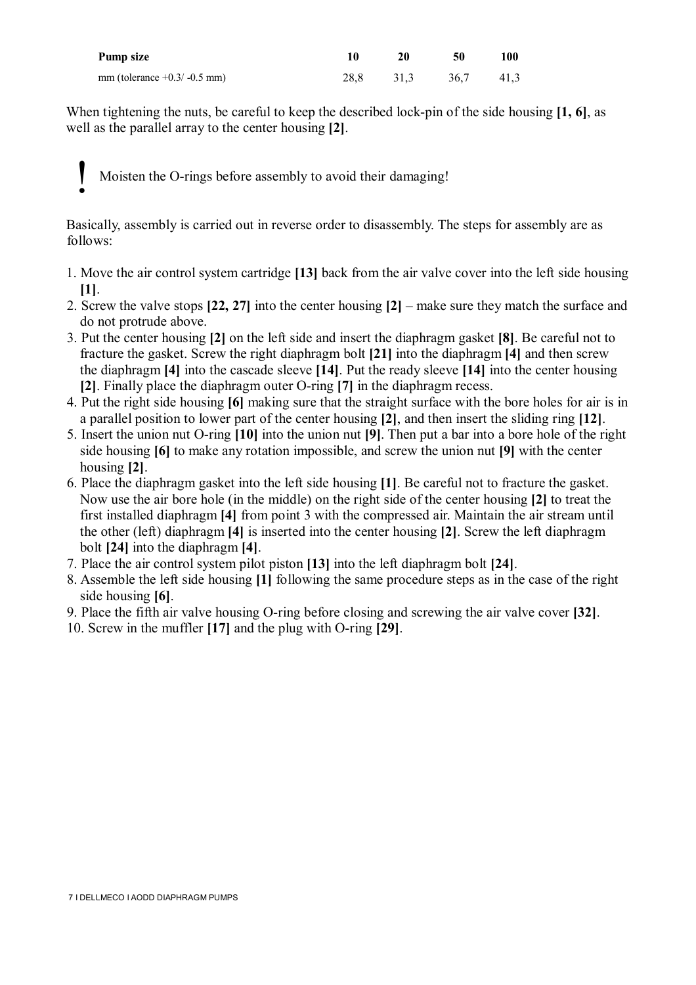| Pump size                      | 10 |           | 50        | 100 |
|--------------------------------|----|-----------|-----------|-----|
| mm (tolerance $+0.3/ -0.5$ mm) |    | 28.8 31.3 | 36,7 41,3 |     |

When tightening the nuts, be careful to keep the described lock-pin of the side housing **[1, 6]**, as well as the parallel array to the center housing **[2]**.

Moisten the O-rings before assembly to avoid their damaging! !

Basically, assembly is carried out in reverse order to disassembly. The steps for assembly are as follows:

- 1. Move the air control system cartridge **[13]** back from the air valve cover into the left side housing **[1]**.
- 2. Screw the valve stops **[22, 27]** into the center housing **[2]** make sure they match the surface and do not protrude above.
- 3. Put the center housing **[2]** on the left side and insert the diaphragm gasket **[8]**. Be careful not to fracture the gasket. Screw the right diaphragm bolt **[21]** into the diaphragm **[4]** and then screw the diaphragm **[4]** into the cascade sleeve **[14]**. Put the ready sleeve **[14]** into the center housing **[2]**. Finally place the diaphragm outer O-ring **[7]** in the diaphragm recess.
- 4. Put the right side housing **[6]** making sure that the straight surface with the bore holes for air is in a parallel position to lower part of the center housing **[2]**, and then insert the sliding ring **[12]**.
- 5. Insert the union nut O-ring **[10]** into the union nut **[9]**. Then put a bar into a bore hole of the right side housing **[6]** to make any rotation impossible, and screw the union nut **[9]** with the center housing **[2]**.
- 6. Place the diaphragm gasket into the left side housing **[1]**. Be careful not to fracture the gasket. Now use the air bore hole (in the middle) on the right side of the center housing **[2]** to treat the first installed diaphragm **[4]** from point 3 with the compressed air. Maintain the air stream until the other (left) diaphragm **[4]** is inserted into the center housing **[2]**. Screw the left diaphragm bolt **[24]** into the diaphragm **[4]**.
- 7. Place the air control system pilot piston **[13]** into the left diaphragm bolt **[24]**.
- 8. Assemble the left side housing **[1]** following the same procedure steps as in the case of the right side housing **[6]**.
- 9. Place the fifth air valve housing O-ring before closing and screwing the air valve cover **[32]**.
- 10. Screw in the muffler **[17]** and the plug with O-ring **[29]**.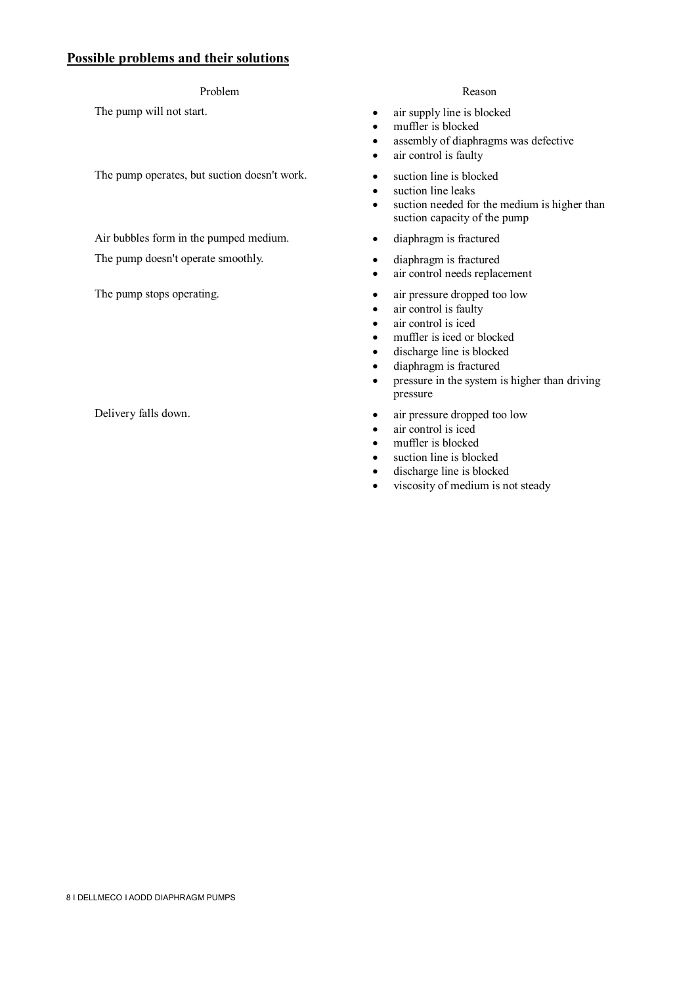#### **Possible problems and their solutions**

#### Problem Reason

The pump operates, but suction doesn't work. <br>
• suction line is blocked

Air bubbles form in the pumped medium. <br>
• diaphragm is fractured The pump doesn't operate smoothly. <br> **e** diaphragm is fractured

- The pump will not start.  $\bullet$  air supply line is blocked
	- muffler is blocked
	- assembly of diaphragms was defective
	- air control is faulty
	-
	- suction line leaks
	- suction needed for the medium is higher than suction capacity of the pump
	-
	-
	- air control needs replacement
- The pump stops operating.  $\bullet$  air pressure dropped too low
	- air control is faulty
	- air control is iced
	- muffler is iced or blocked
	- discharge line is blocked
	- diaphragm is fractured
	- pressure in the system is higher than driving pressure
- Delivery falls down.  $\bullet$  air pressure dropped too low
	- air control is iced
	- muffler is blocked
	- suction line is blocked
	- discharge line is blocked
	- viscosity of medium is not steady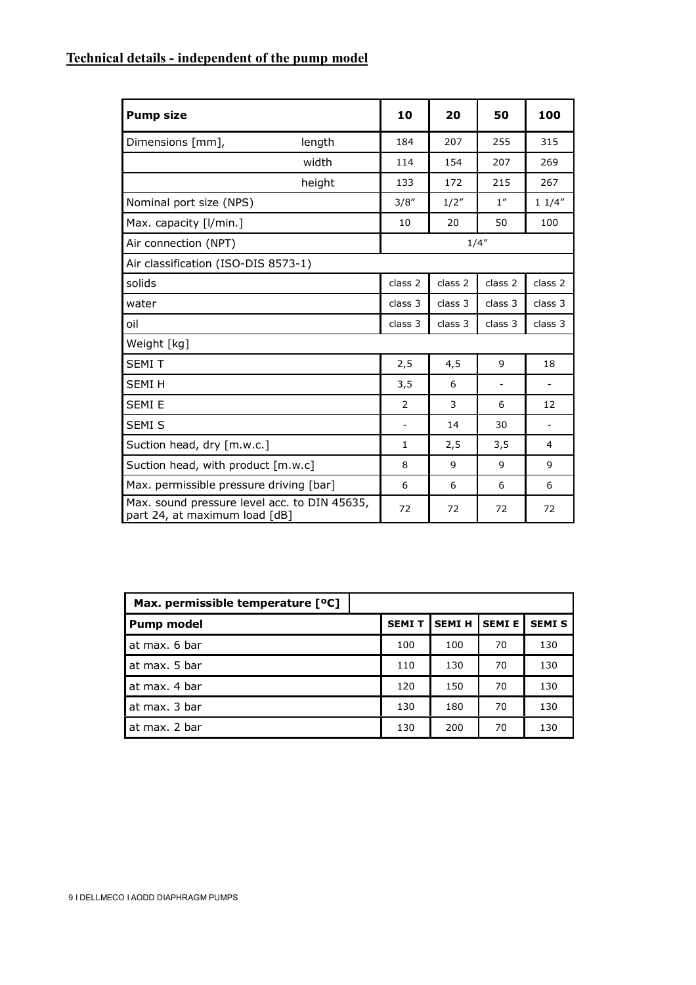## **Technical details - independent of the pump model**

| <b>Pump size</b>                                                              | 10                       | 20      | 50                       | 100                      |
|-------------------------------------------------------------------------------|--------------------------|---------|--------------------------|--------------------------|
| Dimensions [mm],<br>length                                                    | 184                      | 207     | 255                      | 315                      |
| width                                                                         | 114                      | 154     | 207                      | 269                      |
| height                                                                        | 133                      | 172     | 215                      | 267                      |
| Nominal port size (NPS)                                                       | 3/8''                    | 1/2"    | 1''                      | 11/4"                    |
| Max. capacity [I/min.]                                                        | 10                       | 20      | 50                       | 100                      |
| Air connection (NPT)                                                          |                          |         | 1/4''                    |                          |
| Air classification (ISO-DIS 8573-1)                                           |                          |         |                          |                          |
| solids                                                                        | class 2                  | class 2 | class 2                  | class 2                  |
| water                                                                         | class 3                  | class 3 | class <sub>3</sub>       | class 3                  |
| oil                                                                           | class 3                  | class 3 | class 3                  | class 3                  |
| Weight [kg]                                                                   |                          |         |                          |                          |
| <b>SEMIT</b>                                                                  | 2,5                      | 4,5     | 9                        | 18                       |
| <b>SEMIH</b>                                                                  | 3,5                      | 6       | $\overline{\phantom{a}}$ | $\blacksquare$           |
| <b>SEMI E</b>                                                                 | 2                        | 3       | 6                        | 12                       |
| SEMI <sub>S</sub>                                                             | $\overline{\phantom{a}}$ | 14      | 30                       | $\overline{\phantom{a}}$ |
| Suction head, dry [m.w.c.]                                                    | $\mathbf{1}$             | 2,5     | 3,5                      | 4                        |
| Suction head, with product [m.w.c]                                            | 8                        | 9       | 9                        | 9                        |
| Max. permissible pressure driving [bar]                                       | 6                        | 6       | 6                        | 6                        |
| Max. sound pressure level acc. to DIN 45635,<br>part 24, at maximum load [dB] | 72                       | 72      | 72                       | 72                       |

| Max. permissible temperature [ <sup>o</sup> C] |              |              |              |              |
|------------------------------------------------|--------------|--------------|--------------|--------------|
| <b>Pump model</b>                              | <b>SEMIT</b> | <b>SEMIH</b> | <b>SEMIE</b> | <b>SEMIS</b> |
| at max. 6 bar                                  | 100          | 100          | 70           | 130          |
| at max. 5 bar                                  | 110          | 130          | 70           | 130          |
| at max. 4 bar                                  | 120          | 150          | 70           | 130          |
| at max. 3 bar                                  | 130          | 180          | 70           | 130          |
| at max. 2 bar                                  | 130          | 200          | 70           | 130          |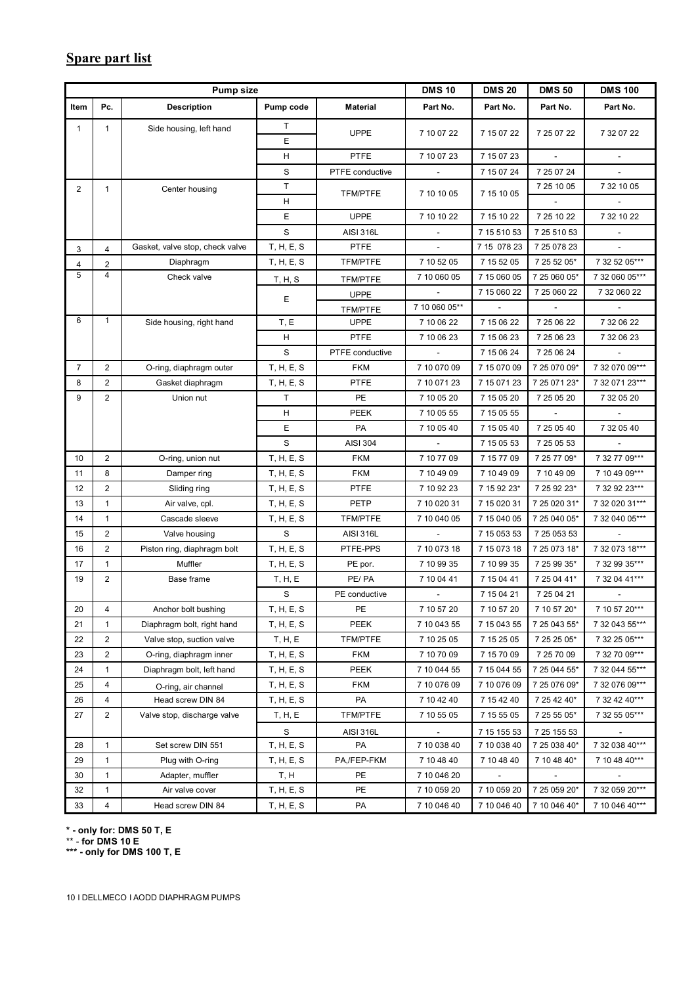#### **Spare part list**

|                |                | <b>Pump size</b>                |             |                  | <b>DMS10</b>             | <b>DMS 20</b>            | <b>DMS 50</b> | <b>DMS 100</b>           |
|----------------|----------------|---------------------------------|-------------|------------------|--------------------------|--------------------------|---------------|--------------------------|
| Item           | Pc.            | <b>Description</b>              | Pump code   | <b>Material</b>  | Part No.                 | Part No.                 | Part No.      | Part No.                 |
| $\mathbf{1}$   | 1              | Side housing, left hand         | T.          | <b>UPPE</b>      | 7 10 07 22               | 7 15 07 22               | 7 25 07 22    | 7 32 07 22               |
|                |                |                                 | E           |                  |                          |                          |               |                          |
|                |                |                                 | H           | PTFE             | 7 10 07 23               | 7 15 07 23               |               |                          |
|                |                |                                 | S           | PTFE conductive  |                          | 7 15 07 24               | 7 25 07 24    |                          |
| $\overline{2}$ | $\mathbf{1}$   | Center housing                  | $\top$      | TFM/PTFE         | 7 10 10 05               | 7 15 10 05               | 7 25 10 05    | 7 32 10 05               |
|                |                |                                 | н           |                  |                          |                          |               |                          |
|                |                |                                 | E           | <b>UPPE</b>      | 7 10 10 22               | 7 15 10 22               | 7 25 10 22    | 7 32 10 22               |
|                |                |                                 | S           | <b>AISI 316L</b> | $\overline{\phantom{a}}$ | 7 15 510 53              | 7 25 510 53   | $\overline{\phantom{a}}$ |
| 3              | $\overline{4}$ | Gasket, valve stop, check valve | T, H, E, S  | <b>PTFE</b>      | $\sim$                   | 7 15 078 23              | 7 25 078 23   |                          |
| $\overline{4}$ | $\overline{2}$ | Diaphragm                       | T, H, E, S  | TFM/PTFE         | 7 10 52 05               | 7 15 52 05               | 7 25 52 05*   | 7 32 52 05***            |
| 5              | 4              | Check valve                     | T, H, S     | TFM/PTFE         | 7 10 060 05              | 7 15 060 05              | 7 25 060 05*  | 7 32 060 05***           |
|                |                |                                 | Е           | <b>UPPE</b>      |                          | 7 15 060 22              | 7 25 060 22   | 7 32 060 22              |
|                |                |                                 |             | TFM/PTFE         | 7 10 060 05**            | $\overline{\phantom{a}}$ |               |                          |
| 6              | 1              | Side housing, right hand        | T, E        | <b>UPPE</b>      | 7 10 06 22               | 7 15 06 22               | 7 25 06 22    | 7 32 06 22               |
|                |                |                                 | н           | <b>PTFE</b>      | 7 10 06 23               | 7 15 06 23               | 7 25 06 23    | 7 32 06 23               |
|                |                |                                 | S           | PTFE conductive  | $\sim$                   | 7 15 06 24               | 7 25 06 24    |                          |
| $\overline{7}$ | $\overline{c}$ | O-ring, diaphragm outer         | T, H, E, S  | <b>FKM</b>       | 7 10 070 09              | 7 15 070 09              | 7 25 070 09*  | 7 32 070 09***           |
| 8              | 2              | Gasket diaphragm                | T, H, E, S  | PTFE             | 7 10 071 23              | 7 15 071 23              | 7 25 071 23*  | 7 32 071 23***           |
| 9              | 2              | Union nut                       | T.          | PE               | 7 10 05 20               | 7 15 05 20               | 7 25 05 20    | 7 32 05 20               |
|                |                |                                 | H           | <b>PEEK</b>      | 7 10 05 55               | 7 15 05 55               |               |                          |
|                |                |                                 | E           | PA               | 7 10 05 40               | 7 15 05 40               | 7 25 05 40    | 7 32 05 40               |
|                |                |                                 | S           | <b>AISI 304</b>  |                          | 7 15 05 53               | 7 25 05 53    |                          |
| 10             | $\overline{c}$ | O-ring, union nut               | T, H, E, S  | <b>FKM</b>       | 7 10 77 09               | 7 15 77 09               | 7 25 77 09*   | 7 32 77 09***            |
| 11             | 8              | Damper ring                     | T, H, E, S  | <b>FKM</b>       | 7 10 49 09               | 7 10 49 09               | 7 10 49 09    | 7 10 49 09***            |
| 12             | 2              | Sliding ring                    | T, H, E, S  | <b>PTFE</b>      | 7 10 92 23               | 7 15 92 23*              | 7 25 92 23*   | 7 32 92 23***            |
| 13             | $\mathbf{1}$   | Air valve, cpl.                 | T, H, E, S  | <b>PETP</b>      | 7 10 020 31              | 7 15 0 20 31             | 7 25 0 20 31* | 7 32 020 31***           |
| 14             | $\mathbf{1}$   | Cascade sleeve                  | T, H, E, S  | TFM/PTFE         | 7 10 040 05              | 7 15 040 05              | 7 25 040 05*  | 7 32 040 05***           |
| 15             | $\overline{2}$ | Valve housing                   | S           | <b>AISI 316L</b> | $\overline{\phantom{a}}$ | 7 15 053 53              | 7 25 053 53   |                          |
| 16             | $\overline{c}$ | Piston ring, diaphragm bolt     | T, H, E, S  | PTFE-PPS         | 7 10 073 18              | 7 15 073 18              | 7 25 073 18*  | 7 32 073 18***           |
| 17             | 1              | Muffler                         | T, H, E, S  | PE por.          | 7 10 99 35               | 7 10 99 35               | 7 25 99 35*   | 7 32 99 35***            |
| 19             | $\overline{c}$ | Base frame                      | T, H, E     | PE/PA            | 7 10 04 41               | 7 15 04 41               | 7 25 04 41*   | 7 32 04 41***            |
|                |                |                                 | S           | PE conductive    | $\sim$                   | 7 15 04 21               | 7 25 04 21    |                          |
| 20             | 4              | Anchor bolt bushing             | T, H, E, S  | PE               | 7 10 57 20               | 7 10 57 20               | 7 10 57 20*   | 7 10 57 20***            |
| 21             | $\mathbf{1}$   | Diaphragm bolt, right hand      | T, H, E, S  | PEEK             | 7 10 043 55              | 7 15 043 55              | 7 25 043 55*  | 7 32 043 55***           |
| 22             | 2              | Valve stop, suction valve       | T, H, E     | TFM/PTFE         | 7 10 25 05               | 7 15 25 05               | 7 25 25 05*   | 7 32 25 05***            |
| 23             | 2              | O-ring, diaphragm inner         | T, H, E, S  | <b>FKM</b>       | 7 10 70 09               | 7 15 70 09               | 7 25 70 09    | 7 32 70 09***            |
| 24             | 1              | Diaphragm bolt, left hand       | T, H, E, S  | PEEK             | 7 10 044 55              | 7 15 044 55              | 7 25 044 55*  | 7 32 044 55***           |
| 25             | 4              | O-ring, air channel             | T, H, E, S  | <b>FKM</b>       | 7 10 076 09              | 7 10 076 09              | 7 25 076 09*  | 7 32 076 09***           |
| 26             | 4              | Head screw DIN 84               | T, H, E, S  | PA               | 7 10 42 40               | 7 15 42 40               | 7 25 42 40*   | 7 32 42 40***            |
| 27             | $\overline{c}$ | Valve stop, discharge valve     | T, H, E     | TFM/PTFE         | 7 10 55 05               | 7 15 55 05               | 7 25 55 05*   | 7 32 55 05***            |
|                |                |                                 | $\mathbf S$ | <b>AISI 316L</b> |                          | 7 15 155 53              | 7 25 155 53   |                          |
| 28             | $\mathbf{1}$   | Set screw DIN 551               | T, H, E, S  | PA               | 7 10 038 40              | 7 10 038 40              | 7 25 038 40*  | 7 32 038 40***           |
| 29             | $\mathbf{1}$   | Plug with O-ring                | T, H, E, S  | PA,/FEP-FKM      | 7 10 48 40               | 7 10 48 40               | 7 10 48 40*   | 7 10 48 40***            |
| 30             | 1              | Adapter, muffler                | T, H        | PE               | 7 10 046 20              |                          |               |                          |
| 32             | 1              | Air valve cover                 | T, H, E, S  | PE               | 7 10 059 20              | 7 10 059 20              | 7 25 059 20*  | 7 32 059 20***           |
| 33             | 4              | Head screw DIN 84               | T, H, E, S  | PA               | 7 10 046 40              | 7 10 046 40              | 7 10 046 40*  | 7 10 046 40***           |

**\* - only for: DMS 50 T, E**

\*\* - **for DMS 10 E**

**\*\*\* - only for DMS 100 T, E**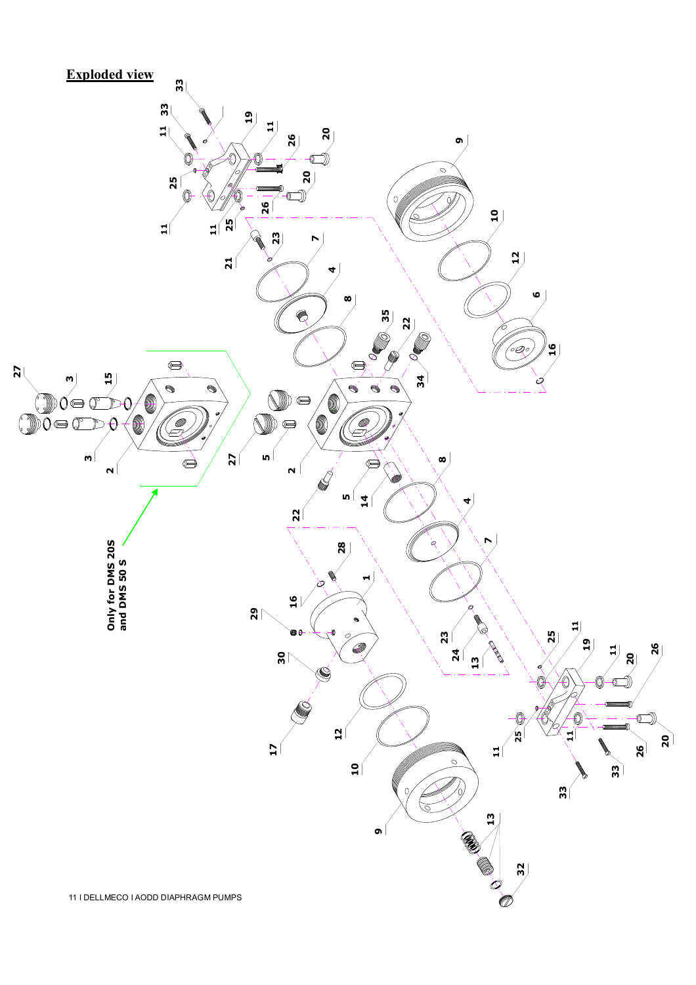# **Exploded view**

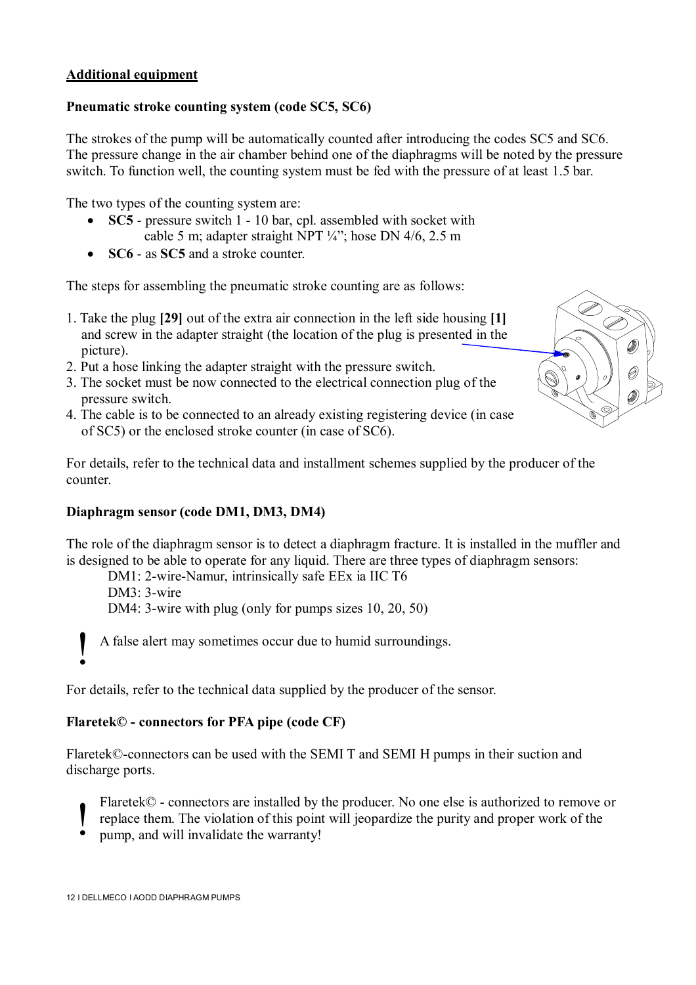#### **Additional equipment**

#### **Pneumatic stroke counting system (code SC5, SC6)**

The strokes of the pump will be automatically counted after introducing the codes SC5 and SC6. The pressure change in the air chamber behind one of the diaphragms will be noted by the pressure switch. To function well, the counting system must be fed with the pressure of at least 1.5 bar.

The two types of the counting system are:

- **SC5** pressure switch 1 10 bar, cpl. assembled with socket with cable 5 m; adapter straight NPT ¼"; hose DN 4/6, 2.5 m
- **SC6** as **SC5** and a stroke counter

The steps for assembling the pneumatic stroke counting are as follows:

- 1. Take the plug **[29]** out of the extra air connection in the left side housing **[1]** and screw in the adapter straight (the location of the plug is presented in the picture).
- 2. Put a hose linking the adapter straight with the pressure switch.
- 3. The socket must be now connected to the electrical connection plug of the pressure switch.
- 4. The cable is to be connected to an already existing registering device (in case of SC5) or the enclosed stroke counter (in case of SC6).



For details, refer to the technical data and installment schemes supplied by the producer of the counter.

#### **Diaphragm sensor (code DM1, DM3, DM4)**

The role of the diaphragm sensor is to detect a diaphragm fracture. It is installed in the muffler and is designed to be able to operate for any liquid. There are three types of diaphragm sensors:

DM1: 2-wire-Namur, intrinsically safe EEx ia IIC T6 DM3: 3-wire DM4: 3-wire with plug (only for pumps sizes 10, 20, 50)

A false alert may sometimes occur due to humid surroundings.

For details, refer to the technical data supplied by the producer of the sensor.

#### **Flaretek© - connectors for PFA pipe (code CF)**

Flaretek©-connectors can be used with the SEMI T and SEMI H pumps in their suction and discharge ports.

- Flaretek© connectors are installed by the producer. No one else is authorized to remove or
- replace them. The violation of this point will jeopardize the purity and proper work of the !
- pump, and will invalidate the warranty!

!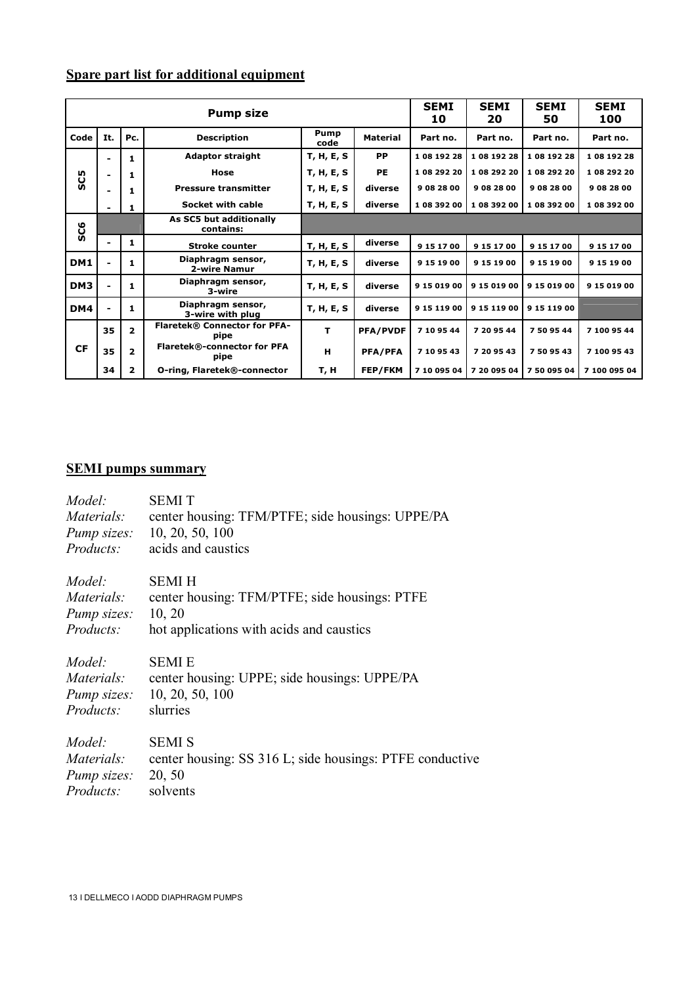# **Spare part list for additional equipment**

|                 | <b>Pump size</b>                                                 |                         |                                             |            |                 |              | <b>SEMI</b><br>20 | <b>SEMI</b><br>50 | <b>SEMI</b><br>100 |
|-----------------|------------------------------------------------------------------|-------------------------|---------------------------------------------|------------|-----------------|--------------|-------------------|-------------------|--------------------|
| Code            | It.<br>Pc.<br><b>Description</b>                                 |                         |                                             |            | <b>Material</b> | Part no.     | Part no.          | Part no.          | Part no.           |
|                 | $\overline{\phantom{0}}$                                         | 1                       | <b>Adaptor straight</b>                     | T, H, E, S | PP              | 1 08 192 28  | 1 08 192 28       | 1 08 192 28       | 1 08 192 28        |
| SC5             | $\overline{\phantom{0}}$                                         | 1                       | Hose                                        | T, H, E, S | <b>PE</b>       | 1 08 292 20  | 1 08 292 20       | 1 08 292 20       | 1 08 29 2 20       |
|                 |                                                                  | 1                       | <b>Pressure transmitter</b>                 | T, H, E, S | diverse         | 9 08 28 00   | 9 08 28 00        | 9 08 28 00        | 9 08 28 00         |
|                 | Socket with cable<br>T, H, E, S<br>1<br>$\overline{\phantom{0}}$ |                         |                                             |            | diverse         | 1 08 392 00  | 1 08 392 00       | 1 08 392 00       | 1 08 39 2 00       |
| SC6             |                                                                  |                         | As SC5 but additionally<br>contains:        |            |                 |              |                   |                   |                    |
|                 |                                                                  | 1                       | <b>Stroke counter</b>                       | T, H, E, S | diverse         | 9 15 17 00   | 9 15 17 00        | 9 15 17 00        | 9 15 17 00         |
| DM1             |                                                                  | 1                       | Diaphragm sensor,<br>2-wire Namur           | T, H, E, S | diverse         | 9 15 19 00   | 9 15 19 00        | 9 15 19 00        | 9 15 19 00         |
| DM <sub>3</sub> |                                                                  | 1                       | Diaphragm sensor,<br>3-wire                 | T, H, E, S | diverse         | 9 15 0 19 00 | 9 15 0 19 00      | 9 15 0 19 00      | 9 15 019 00        |
| DM4             |                                                                  | $\mathbf{1}$            | Diaphragm sensor,<br>3-wire with plug       | T, H, E, S | diverse         | 9 15 119 00  | 9 15 119 00       | 9 15 119 00       |                    |
|                 | 35                                                               | $\overline{2}$          | <b>Flaretek® Connector for PFA-</b><br>pipe | т          | <b>PFA/PVDF</b> | 7 10 95 44   | 7 20 95 44        | 7 50 95 44        | 7 100 95 44        |
| <b>CF</b>       | 35                                                               | $\overline{\mathbf{2}}$ | Flaretek®-connector for PFA<br>pipe         | н          | <b>PFA/PFA</b>  | 7 10 95 43   | 7 20 95 43        | 7 50 95 43        | 7 100 95 43        |
|                 | 34                                                               | $\overline{2}$          | O-ring, Flaretek®-connector                 | т, н       | FEP/FKM         | 7 10 095 04  | 7 20 095 04       | 75009504          | 7 100 095 04       |

#### **SEMI pumps summary**

| Model:             | <b>SEMIT</b>                                             |
|--------------------|----------------------------------------------------------|
| Materials:         | center housing: TFM/PTFE; side housings: UPPE/PA         |
| Pump sizes:        | 10, 20, 50, 100                                          |
| Products:          | acids and caustics                                       |
| Model:             | <b>SEMIH</b>                                             |
| Materials:         | center housing: TFM/PTFE; side housings: PTFE            |
| Pump sizes:        | 10, 20                                                   |
| Products:          | hot applications with acids and caustics                 |
| Model:             | <b>SEMIE</b>                                             |
| Materials:         | center housing: UPPE; side housings: UPPE/PA             |
| <i>Pump sizes:</i> | 10, 20, 50, 100                                          |
| Products:          | slurries                                                 |
| Model:             | <b>SEMI S</b>                                            |
| Materials:         | center housing: SS 316 L; side housings: PTFE conductive |
| Pump sizes:        | 20, 50                                                   |
| Products:          | solvents                                                 |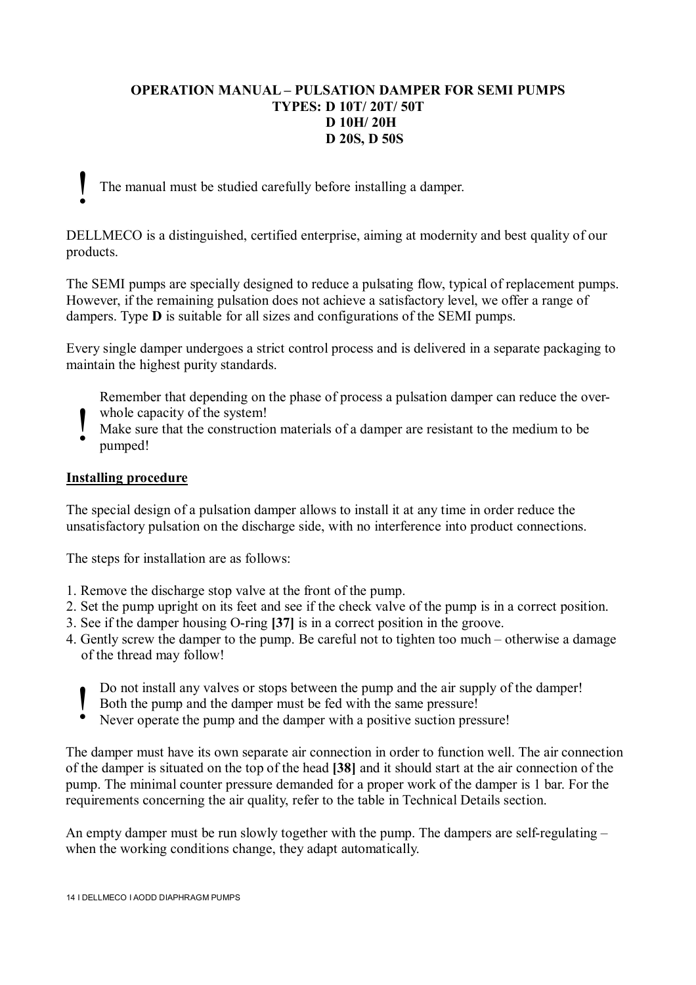#### **OPERATION MANUAL – PULSATION DAMPER FOR SEMI PUMPS TYPES: D 10T/ 20T/ 50T D 10H/ 20H D 20S, D 50S**

The manual must be studied carefully before installing a damper.

DELLMECO is a distinguished, certified enterprise, aiming at modernity and best quality of our products.

The SEMI pumps are specially designed to reduce a pulsating flow, typical of replacement pumps. However, if the remaining pulsation does not achieve a satisfactory level, we offer a range of dampers. Type **D** is suitable for all sizes and configurations of the SEMI pumps.

Every single damper undergoes a strict control process and is delivered in a separate packaging to maintain the highest purity standards.

- Remember that depending on the phase of process a pulsation damper can reduce the over-
- whole capacity of the system!
- Make sure that the construction materials of a damper are resistant to the medium to be pumped! !

#### **Installing procedure**

!

The special design of a pulsation damper allows to install it at any time in order reduce the unsatisfactory pulsation on the discharge side, with no interference into product connections.

The steps for installation are as follows:

- 1. Remove the discharge stop valve at the front of the pump.
- 2. Set the pump upright on its feet and see if the check valve of the pump is in a correct position.
- 3. See if the damper housing O-ring **[37]** is in a correct position in the groove.
- 4. Gently screw the damper to the pump. Be careful not to tighten too much otherwise a damage of the thread may follow!
	- Do not install any valves or stops between the pump and the air supply of the damper!
	- Both the pump and the damper must be fed with the same pressure! !
	- Never operate the pump and the damper with a positive suction pressure!

The damper must have its own separate air connection in order to function well. The air connection of the damper is situated on the top of the head **[38]** and it should start at the air connection of the pump. The minimal counter pressure demanded for a proper work of the damper is 1 bar. For the requirements concerning the air quality, refer to the table in Technical Details section.

An empty damper must be run slowly together with the pump. The dampers are self-regulating – when the working conditions change, they adapt automatically.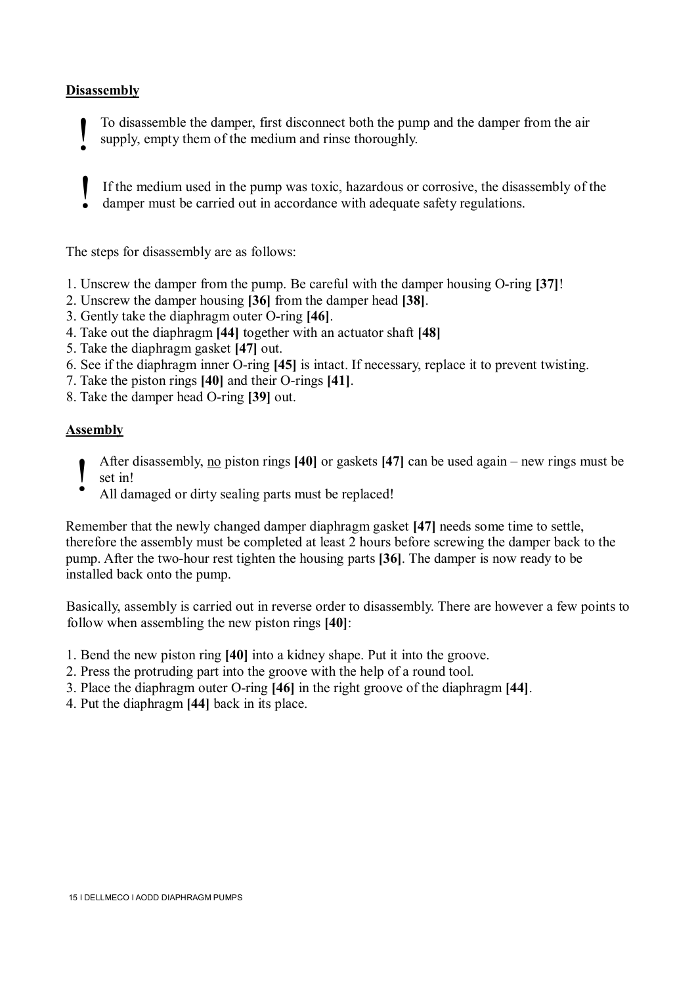#### **Disassembly**

To disassemble the damper, first disconnect both the pump and the damper from the air supply, empty them of the medium and rinse thoroughly. !

- If the medium used in the pump was toxic, hazardous or corrosive, the disassembly of the
- damper must be carried out in accordance with adequate safety regulations. !

The steps for disassembly are as follows:

- 1. Unscrew the damper from the pump. Be careful with the damper housing O-ring **[37]**!
- 2. Unscrew the damper housing **[36]** from the damper head **[38]**.
- 3. Gently take the diaphragm outer O-ring **[46]**.
- 4. Take out the diaphragm **[44]** together with an actuator shaft **[48]**
- 5. Take the diaphragm gasket **[47]** out.
- 6. See if the diaphragm inner O-ring **[45]** is intact. If necessary, replace it to prevent twisting.
- 7. Take the piston rings **[40]** and their O-rings **[41]**.
- 8. Take the damper head O-ring **[39]** out.

#### **Assembly**

- After disassembly, no piston rings **[40]** or gaskets **[47]** can be used again new rings must be set in! !
	- All damaged or dirty sealing parts must be replaced!

Remember that the newly changed damper diaphragm gasket **[47]** needs some time to settle, therefore the assembly must be completed at least 2 hours before screwing the damper back to the pump. After the two-hour rest tighten the housing parts **[36]**. The damper is now ready to be installed back onto the pump.

Basically, assembly is carried out in reverse order to disassembly. There are however a few points to follow when assembling the new piston rings **[40]**:

- 1. Bend the new piston ring **[40]** into a kidney shape. Put it into the groove.
- 2. Press the protruding part into the groove with the help of a round tool.
- 3. Place the diaphragm outer O-ring **[46]** in the right groove of the diaphragm **[44]**.
- 4. Put the diaphragm **[44]** back in its place.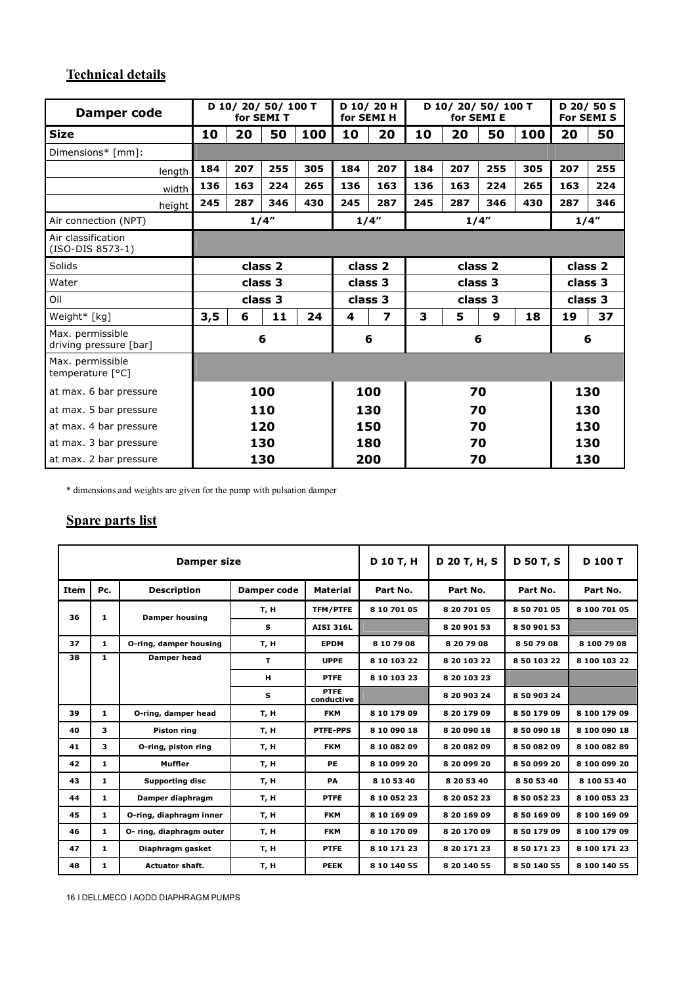# **Technical details**

| Damper code                                |                    |     | D 10/20/50/100 T<br>for SEMI T |                               | for SEMI H | D 10/20 H |         | D 10/20/50/100 T | for SEMI E |         |     | D 20/50 S<br><b>For SEMI S</b> |
|--------------------------------------------|--------------------|-----|--------------------------------|-------------------------------|------------|-----------|---------|------------------|------------|---------|-----|--------------------------------|
| <b>Size</b>                                | 10                 | 20  | 50                             | 100                           | 10         | 20        | 10      | 20               | 50         | 100     | 20  | 50                             |
| Dimensions* [mm]:                          |                    |     |                                |                               |            |           |         |                  |            |         |     |                                |
| length                                     | 184                | 207 | 255                            | 305                           | 184        | 207       | 184     | 207              | 255        | 305     | 207 | 255                            |
| width                                      | 136                | 163 | 224                            | 265                           | 136        | 163       | 136     | 163              | 224        | 265     | 163 | 224                            |
| height                                     | 245                | 287 | 346                            | 430                           | 245        | 287       | 245     | 287              | 346        | 430     | 287 | 346                            |
| Air connection (NPT)                       |                    |     | 1/4''                          |                               |            | 1/4"      |         |                  | 1/4"       |         |     | 1/4"                           |
| Air classification<br>(ISO-DIS 8573-1)     |                    |     |                                |                               |            |           |         |                  |            |         |     |                                |
| Solids                                     | class <sub>2</sub> |     |                                | class <sub>2</sub><br>class 2 |            |           | class 2 |                  |            |         |     |                                |
| Water                                      | class 3            |     |                                | class 3                       |            |           | class 3 |                  |            | class 3 |     |                                |
| Oil                                        | class 3            |     | class 3                        |                               | class 3    |           |         | class 3          |            |         |     |                                |
| Weight* [kg]                               | 3,5                | 6   | 11                             | 24                            | 4          | 7         | 3       | 5                | 9          | 18      | 19  | 37                             |
| Max. permissible<br>driving pressure [bar] |                    |     | 6                              |                               |            | 6         |         |                  | 6          |         |     | 6                              |
| Max. permissible<br>temperature [°C]       |                    |     |                                |                               |            |           |         |                  |            |         |     |                                |
| at max. 6 bar pressure                     | 100                |     |                                | 100                           |            |           | 70      |                  |            |         | 130 |                                |
| at max. 5 bar pressure                     |                    |     | 110                            |                               |            | 130       |         |                  | 70         |         |     | 130                            |
| at max. 4 bar pressure                     |                    |     | 120                            |                               |            | 150       | 70      |                  |            |         |     | 130                            |
| at max. 3 bar pressure                     |                    |     | 130                            |                               |            | 180       |         |                  | 70         |         | 130 |                                |
| at max. 2 bar pressure                     |                    |     | 130                            |                               |            | 200       |         | 70               |            |         | 130 |                                |

\* dimensions and weights are given for the pump with pulsation damper

## **Spare parts list**

| Damper size |              |                          |                    |                           | D 10 T, H    | D 20 T, H, S | <b>D 50 T, S</b> | D 100 T      |
|-------------|--------------|--------------------------|--------------------|---------------------------|--------------|--------------|------------------|--------------|
| <b>Item</b> | Pc.          | <b>Description</b>       | <b>Damper code</b> | <b>Material</b>           | Part No.     | Part No.     | Part No.         | Part No.     |
| 36          | $\mathbf{1}$ | <b>Damper housing</b>    | T, H               | <b>TFM/PTFE</b>           | 8 10 701 05  | 8 20 701 05  | 8 50 701 05      | 8 100 701 05 |
|             |              |                          | s                  | <b>AISI 316L</b>          |              | 8 20 901 53  | 8 50 901 53      |              |
| 37          | 1            | O-ring, damper housing   | T, H               | <b>EPDM</b>               | 8 10 79 08   | 8 20 79 08   | 8 50 79 08       | 8 100 79 08  |
| 38          | $\mathbf{1}$ | Damper head              | T.                 | <b>UPPE</b>               | 8 10 103 22  | 8 20 103 22  | 8 50 103 22      | 8 100 103 22 |
|             |              |                          | н                  | <b>PTFE</b>               | 8 10 103 23  | 8 20 103 23  |                  |              |
|             |              |                          | s                  | <b>PTFE</b><br>conductive |              | 8 20 903 24  | 8 50 903 24      |              |
| 39          | 1            | O-ring, damper head      | T, H               | <b>FKM</b>                | 8 10 179 09  | 8 20 179 09  | 8 50 179 09      | 8 100 179 09 |
| 40          | з            | <b>Piston ring</b>       | т, н               | <b>PTFE-PPS</b>           | 8 10 090 18  | 8 20 090 18  | 8 50 090 18      | 8 100 090 18 |
| 41          | 3            | O-ring, piston ring      | т, н               | <b>FKM</b>                | 8 10 08 2 09 | 8 20 08 2 09 | 85008209         | 8 100 082 89 |
| 42          | 1            | Muffler                  | т, н               | PE                        | 8 10 099 20  | 8 20 099 20  | 8 50 099 20      | 8 100 099 20 |
| 43          | 1            | <b>Supporting disc</b>   | т, н               | PA                        | 8 10 53 40   | 8 20 53 40   | 8 50 53 40       | 8 100 53 40  |
| 44          | 1            | Damper diaphragm         | T, H               | <b>PTFE</b>               | 8 10 052 23  | 8 20 052 23  | 8 50 052 23      | 8 100 053 23 |
| 45          | 1            | O-ring, diaphragm inner  | т, н               | <b>FKM</b>                | 8 10 169 09  | 8 20 169 09  | 8 50 169 09      | 8 100 169 09 |
| 46          | $\mathbf{1}$ | O- ring, diaphragm outer | T, H               | <b>FKM</b>                | 8 10 170 09  | 8 20 170 09  | 8 50 179 09      | 8 100 179 09 |
| 47          | 1            | Diaphragm gasket         | т, н               | <b>PTFE</b>               | 8 10 171 23  | 8 20 171 23  | 8 50 171 23      | 8 100 171 23 |
| 48          | 1            | <b>Actuator shaft.</b>   | T, H               | <b>PEEK</b>               | 8 10 140 55  | 8 20 140 55  | 8 50 140 55      | 8 100 140 55 |

16 I DELLMECO I AODD DIAPHRAGM PUMPS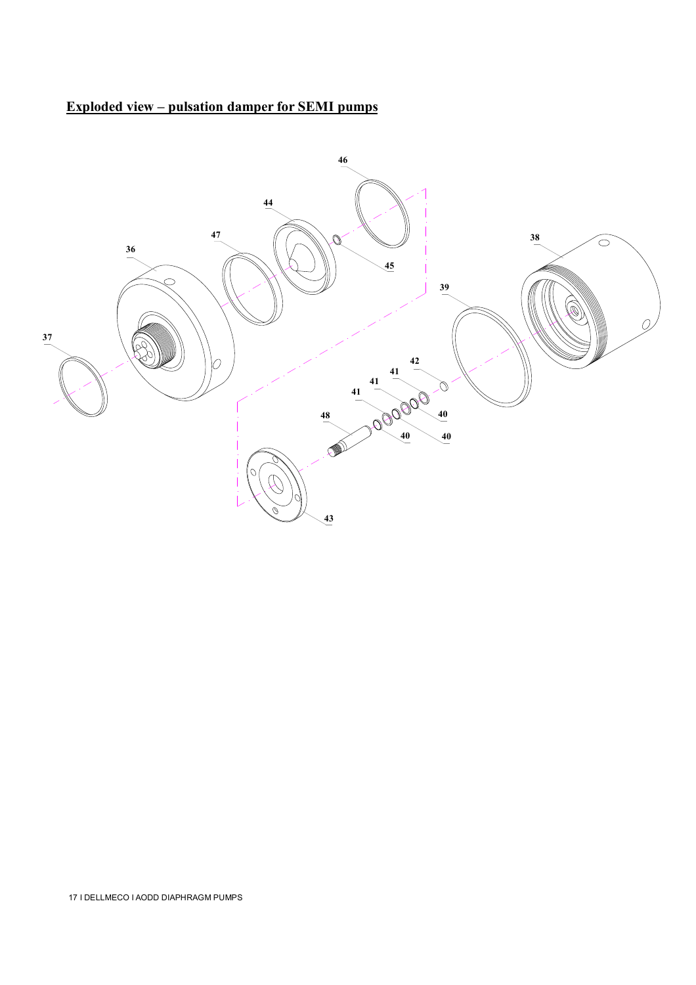## **Exploded view – pulsation damper for SEMI pumps**

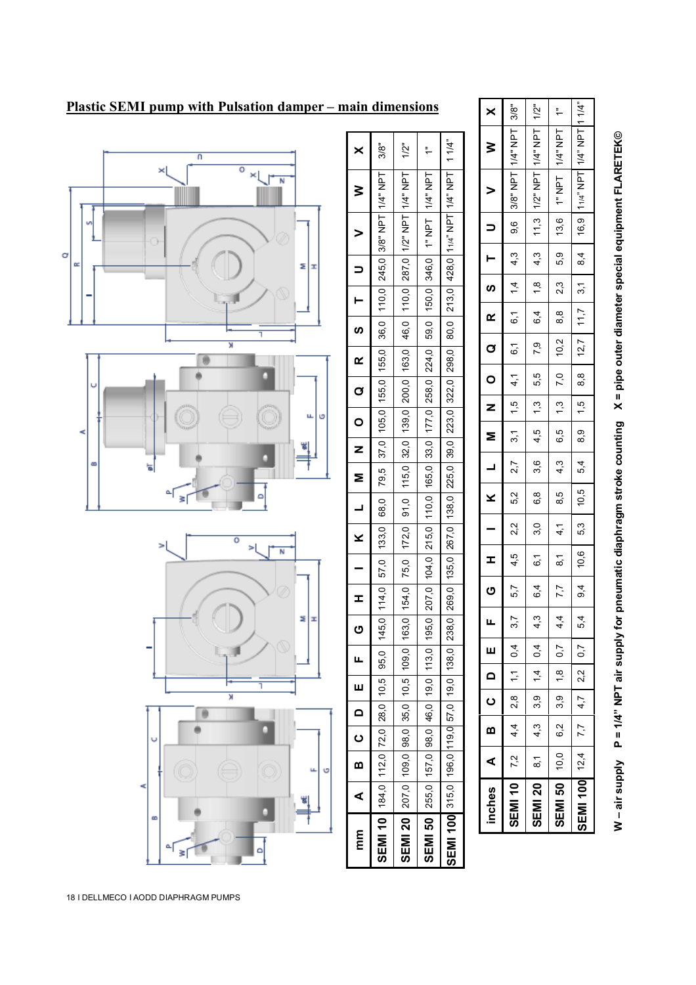



1/2"  $\ddot{\phantom{1}}$  $1/4$ "

1/4" NPT

1/2" NPT 1" NPT 11/4" NPT

11,3 13,6 16,9

4,3 5,9 8,4

 $\frac{1}{10}$ 

6,4 8,8 11,7

7,9

5,5 7,0 8,8

1,3 1,3 1,5

4,5

3,6

6,8 8,5 10,5

3,0

6,1 8,1 10,6

6,4

4,3

0,4 0,7 0,7

1,4 1,8 2,2

3,9 3,9 4,7

4,3 6,2 7,7

 $\overline{8}$ 

**SEMI 20 SEMI 50 SEMI 100**

10,0 12,4

2,3 3,1

10,2 12,7

6,5 8,9

4,3 5,4

4,1 5,3

7,7 9,4

4,4 5,4

1/4" NPT 1/4" NPT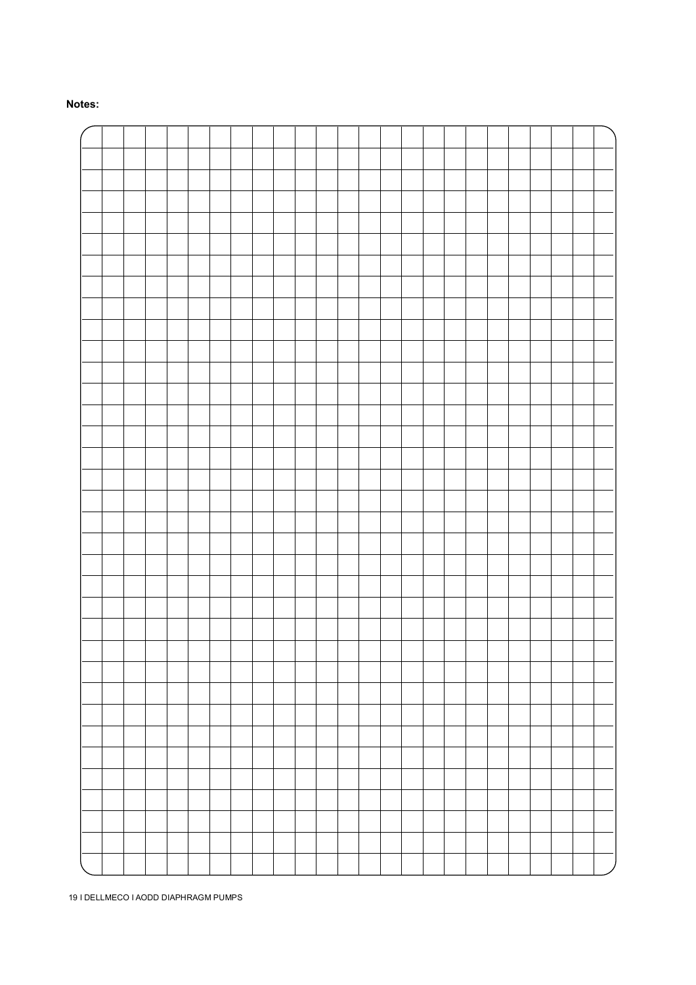#### **Notes:**

19 I DELLMECO I AODD DIAPHRAGM PUMPS